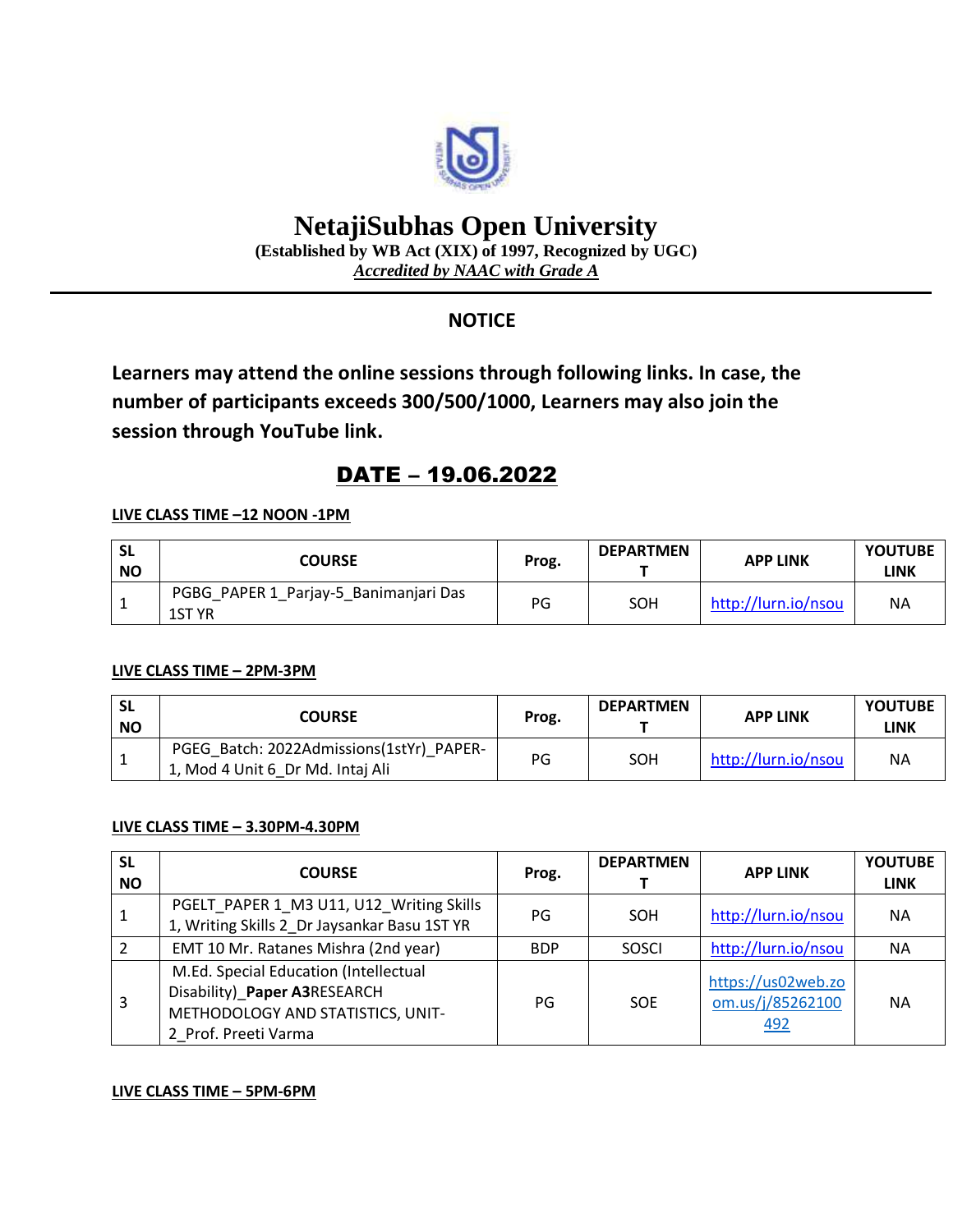

# **NetajiSubhas Open University**

**(Established by WB Act (XIX) of 1997, Recognized by UGC)** *Accredited by NAAC with Grade A*

## **NOTICE**

**Learners may attend the online sessions through following links. In case, the number of participants exceeds 300/500/1000, Learners may also join the session through YouTube link.**

# DATE – 19.06.2022

#### **LIVE CLASS TIME –12 NOON -1PM**

| -SL<br><b>NO</b> | <b>COURSE</b>                                   | Prog. | <b>DEPARTMEN</b> | <b>APP LINK</b>     | <b>YOUTUBE</b><br>LINK |
|------------------|-------------------------------------------------|-------|------------------|---------------------|------------------------|
|                  | PGBG_PAPER 1_Parjay-5_Banimanjari Das<br>1ST YR | PG    | SOH              | http://lurn.io/nsou | <b>NA</b>              |

#### **LIVE CLASS TIME – 2PM-3PM**

| -SL<br><b>NO</b> | <b>COURSE</b>                                                                | Prog. | <b>DEPARTMEN</b> | <b>APP LINK</b>     | <b>YOUTUBE</b><br>LINK |
|------------------|------------------------------------------------------------------------------|-------|------------------|---------------------|------------------------|
|                  | PGEG Batch: 2022Admissions(1stYr) PAPER-<br>1, Mod 4 Unit 6 Dr Md. Intaj Ali | PG    | SOH              | http://lurn.io/nsou | ΝA                     |

### **LIVE CLASS TIME – 3.30PM-4.30PM**

| <b>SL</b><br><b>NO</b> | <b>COURSE</b>                                                                                                                      | Prog.      | <b>DEPARTMEN</b> | <b>APP LINK</b>                               | <b>YOUTUBE</b><br><b>LINK</b> |
|------------------------|------------------------------------------------------------------------------------------------------------------------------------|------------|------------------|-----------------------------------------------|-------------------------------|
|                        | PGELT_PAPER 1_M3 U11, U12_Writing Skills<br>1, Writing Skills 2_Dr Jaysankar Basu 1ST YR                                           | PG         | <b>SOH</b>       | http://lurn.io/nsou                           | <b>NA</b>                     |
| $\overline{2}$         | EMT 10 Mr. Ratanes Mishra (2nd year)                                                                                               | <b>BDP</b> | <b>SOSCI</b>     | http://lurn.io/nsou                           | <b>NA</b>                     |
| 3                      | M.Ed. Special Education (Intellectual<br>Disability)_Paper A3RESEARCH<br>METHODOLOGY AND STATISTICS, UNIT-<br>2 Prof. Preeti Varma | PG         | <b>SOE</b>       | https://us02web.zo<br>om.us/j/85262100<br>492 | <b>NA</b>                     |

#### **LIVE CLASS TIME – 5PM-6PM**